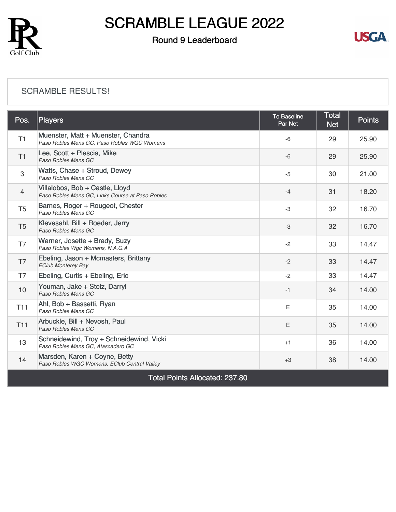

### Round 9 Leaderboard



#### [SCRAMBLE RESULTS!](https://static.golfgenius.com/v2tournaments/8428216768257900087?called_from=&round_index=9)

| Pos.           | <b>Players</b>                                                                      | <b>To Baseline</b><br>Par Net | <b>Total</b><br><b>Net</b> | <b>Points</b> |
|----------------|-------------------------------------------------------------------------------------|-------------------------------|----------------------------|---------------|
| T1             | Muenster, Matt + Muenster, Chandra<br>Paso Robles Mens GC, Paso Robles WGC Womens   | $-6$                          | 29                         | 25.90         |
| T1             | Lee, Scott + Plescia, Mike<br>Paso Robles Mens GC                                   | $-6$                          | 29                         | 25.90         |
| 3              | Watts, Chase + Stroud, Dewey<br>Paso Robles Mens GC                                 | $-5$                          | 30                         | 21.00         |
| $\overline{4}$ | Villalobos, Bob + Castle, Lloyd<br>Paso Robles Mens GC, Links Course at Paso Robles | $-4$                          | 31                         | 18.20         |
| T <sub>5</sub> | Barnes, Roger + Rougeot, Chester<br>Paso Robles Mens GC                             | $-3$                          | 32                         | 16.70         |
| T <sub>5</sub> | Klevesahl, Bill + Roeder, Jerry<br>Paso Robles Mens GC                              | $-3$                          | 32                         | 16.70         |
| T7             | Warner, Josette + Brady, Suzy<br>Paso Robles Wgc Womens, N.A.G.A                    | $-2$                          | 33                         | 14.47         |
| T7             | Ebeling, Jason + Mcmasters, Brittany<br><b>EClub Monterey Bay</b>                   | $-2$                          | 33                         | 14.47         |
| T7             | Ebeling, Curtis + Ebeling, Eric                                                     | $-2$                          | 33                         | 14.47         |
| 10             | Youman, Jake + Stolz, Darryl<br>Paso Robles Mens GC                                 | $-1$                          | 34                         | 14.00         |
| <b>T11</b>     | Ahl, Bob + Bassetti, Ryan<br>Paso Robles Mens GC                                    | E                             | 35                         | 14.00         |
| <b>T11</b>     | Arbuckle, Bill + Nevosh, Paul<br>Paso Robles Mens GC                                | Ε                             | 35                         | 14.00         |
| 13             | Schneidewind, Troy + Schneidewind, Vicki<br>Paso Robles Mens GC, Atascadero GC      | $+1$                          | 36                         | 14.00         |
| 14             | Marsden, Karen + Coyne, Betty<br>Paso Robles WGC Womens, EClub Central Valley       | $+3$                          | 38                         | 14.00         |

Total Points Allocated: 237.80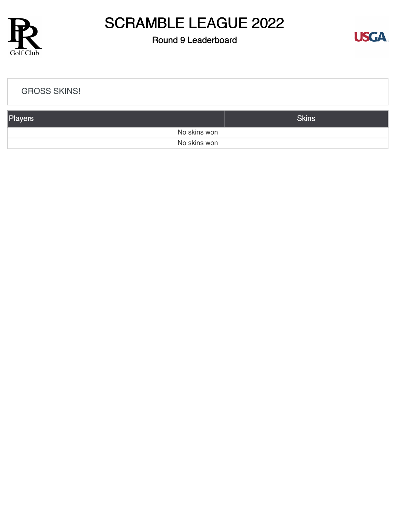

### Round 9 Leaderboard



| <b>GROSS SKINS!</b> |              |
|---------------------|--------------|
| Players             | <b>Skins</b> |
| No skins won        |              |
| No skins won        |              |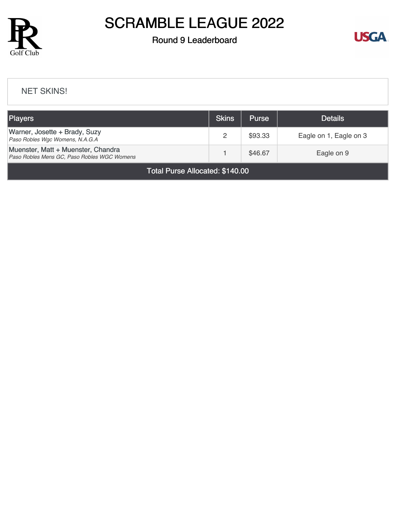

### Round 9 Leaderboard



#### [NET SKINS!](https://static.golfgenius.com/v2tournaments/8428223334390480441?called_from=&round_index=9)

| <b>Players</b>                                                                    | <b>Skins</b> | <b>Purse</b> | <b>Details</b>         |
|-----------------------------------------------------------------------------------|--------------|--------------|------------------------|
| Warner, Josette + Brady, Suzy<br>Paso Robles Wgc Womens, N.A.G.A                  |              | \$93.33      | Eagle on 1, Eagle on 3 |
| Muenster, Matt + Muenster, Chandra<br>Paso Robles Mens GC, Paso Robles WGC Womens |              | \$46.67      | Eagle on 9             |

Total Purse Allocated: \$140.00